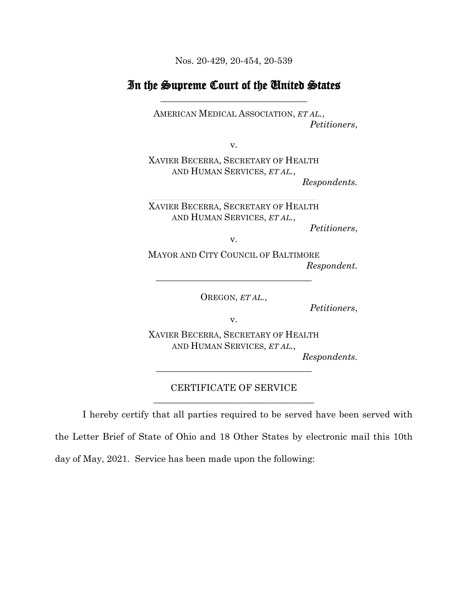Nos. 20-429, 20-454, 20-539

## In the Supreme Court of the United States **\_\_\_\_\_\_\_\_\_\_\_\_\_\_\_\_\_\_\_\_\_\_\_\_\_\_\_\_\_\_\_\_**

AMERICAN MEDICAL ASSOCIATION, *ET AL.*, *Petitioners*,

v.

XAVIER BECERRA, SECRETARY OF HEALTH AND HUMAN SERVICES, *ET AL.*,

*Respondents.*

XAVIER BECERRA, SECRETARY OF HEALTH AND HUMAN SERVICES, *ET AL.*,

*Petitioners*,

v.

MAYOR AND CITY COUNCIL OF BALTIMORE *Respondent.*

OREGON, *ET AL.*,

\_\_\_\_\_\_\_\_\_\_\_\_\_\_\_\_\_\_\_\_\_\_\_\_\_\_\_\_\_\_\_\_\_\_

*Petitioners*,

v.

XAVIER BECERRA, SECRETARY OF HEALTH AND HUMAN SERVICES, *ET AL.*,

*Respondents.*

## CERTIFICATE OF SERVICE \_\_\_\_\_\_\_\_\_\_\_\_\_\_\_\_\_\_\_\_\_\_\_\_\_\_\_\_\_\_\_\_\_\_\_

\_\_\_\_\_\_\_\_\_\_\_\_\_\_\_\_\_\_\_\_\_\_\_\_\_\_\_\_\_\_\_\_\_\_

I hereby certify that all parties required to be served have been served with the Letter Brief of State of Ohio and 18 Other States by electronic mail this 10th day of May, 2021. Service has been made upon the following: